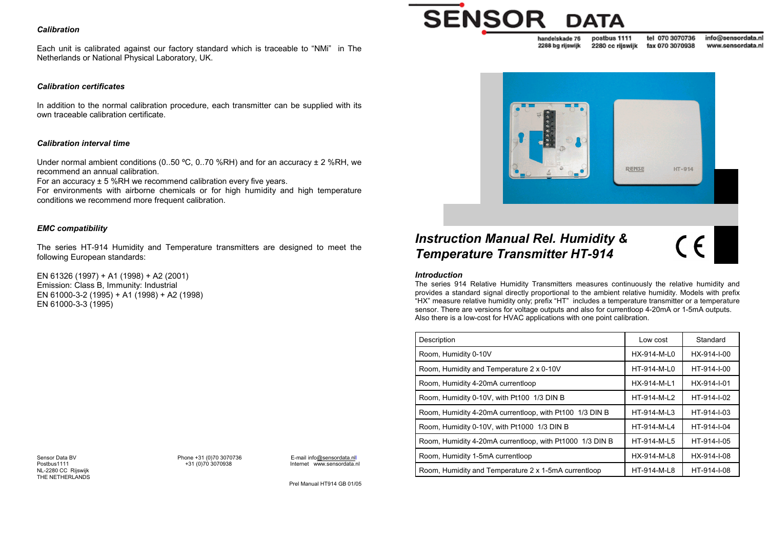### *Calibration*

Each unit is calibrated against our factory standard which is traceable to "NMi" in The Netherlands or National Physical Laboratory, UK.

## *Calibration certificates*

In addition to the normal calibration procedure, each transmitter can be supplied with its own traceable calibration certificate.

#### *Calibration interval time*

Under normal ambient conditions (0..50 °C, 0..70 %RH) and for an accuracy  $\pm$  2 %RH, we recommend an annual calibration.

For an accuracy ± 5 %RH we recommend calibration every five years.

For environments with airborne chemicals or for high humidity and high temperature conditions we recommend more frequent calibration.

# *EMC compatibility*

The series HT-914 Humidity and Temperature transmitters are designed to meet the following European standards:

EN 61326 (1997) + A1 (1998) + A2 (2001) Emission: Class B, Immunity: Industrial EN 61000-3-2 (1995) + A1 (1998) + A2 (1998) EN 61000-3-3 (1995)

Sensor Data BVNL-2280 CC Rijswijk THE NETHERLANDS

Phone +31 (0)70 3070736 E-mail info@sensordata.nll<br>+31 (0)70 3070938 Internet www.sensordata.nl Postbus1111 +31 (0)70 3070938 Internet www.sensordata.n

Prel Manual HT914 GB 01/05

# **SENSOR**

tel 070 3070736 info@sensordata.nl postbus 1111 handelskade 76 2288 bg rijswijk 2280 cc rilswijk fax 070 3070938 www.sensordata.nl



# *Instruction Manual Rel. Humidity & Temperature Transmitter HT-914*

 $\zeta$ 

#### *Introduction*

The series 914 Relative Humidity Transmitters measures continuously the relative humidity and provides a standard signal directly proportional to the ambient relative humidity. Models with prefix "HX" measure relative humidity only; prefix "HT" includes a temperature transmitter or a temperature sensor. There are versions for voltage outputs and also for currentloop 4-20mA or 1-5mA outputs. Also there is a low-cost for HVAC applications with one point calibration.

| Description                                              | Low cost    | Standard    |
|----------------------------------------------------------|-------------|-------------|
| Room, Humidity 0-10V                                     | HX-914-M-L0 | HX-914-I-00 |
| Room, Humidity and Temperature 2 x 0-10V                 | HT-914-M-L0 | HT-914-I-00 |
| Room, Humidity 4-20mA currentloop                        | HX-914-M-L1 | HX-914-I-01 |
| Room, Humidity 0-10V, with Pt100 1/3 DIN B               | HT-914-M-L2 | HT-914-I-02 |
| Room, Humidity 4-20mA currentloop, with Pt100 1/3 DIN B  | HT-914-M-L3 | HT-914-I-03 |
| Room, Humidity 0-10V, with Pt1000 1/3 DIN B              | HT-914-M-L4 | HT-914-I-04 |
| Room, Humidity 4-20mA currentloop, with Pt1000 1/3 DIN B | HT-914-M-L5 | HT-914-I-05 |
| Room, Humidity 1-5mA currentloop                         | HX-914-M-L8 | HX-914-I-08 |
| Room, Humidity and Temperature 2 x 1-5mA currentloop     | HT-914-M-L8 | HT-914-I-08 |